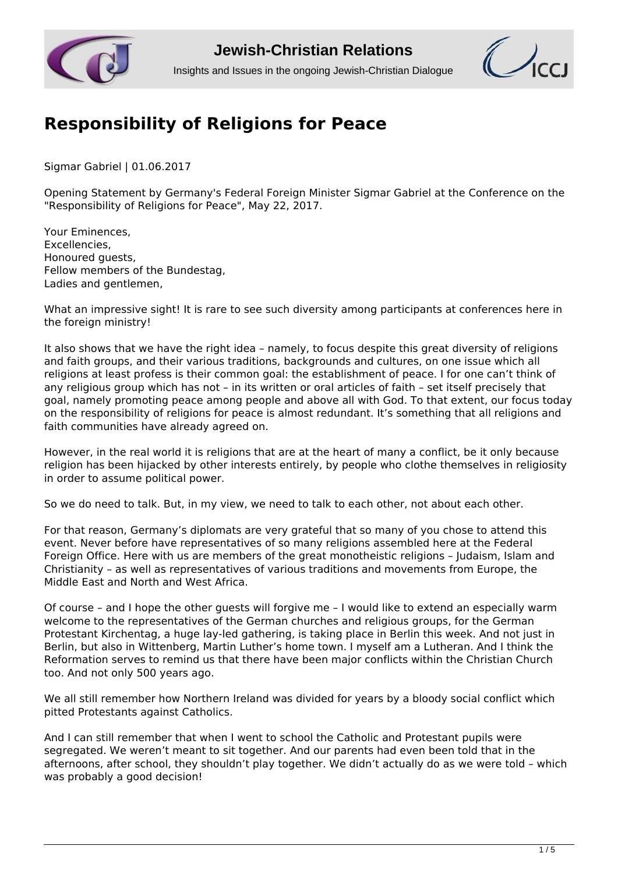

## **Jewish-Christian Relations**

Insights and Issues in the ongoing Jewish-Christian Dialogue



## **[Responsibility of Religions for Peace](http://www.jcrelations.net/Responsibility_of_Religions_for_Peace.5691.0.html?L=3)**

Sigmar Gabriel | 01.06.2017

Opening Statement by Germany's Federal Foreign Minister Sigmar Gabriel at the Conference on the "Responsibility of Religions for Peace", May 22, 2017.

Your Eminences, Excellencies, Honoured guests, Fellow members of the Bundestag, Ladies and gentlemen,

What an impressive sight! It is rare to see such diversity among participants at conferences here in the foreign ministry!

It also shows that we have the right idea – namely, to focus despite this great diversity of religions and faith groups, and their various traditions, backgrounds and cultures, on one issue which all religions at least profess is their common goal: the establishment of peace. I for one can't think of any religious group which has not – in its written or oral articles of faith – set itself precisely that goal, namely promoting peace among people and above all with God. To that extent, our focus today on the responsibility of religions for peace is almost redundant. It's something that all religions and faith communities have already agreed on.

However, in the real world it is religions that are at the heart of many a conflict, be it only because religion has been hijacked by other interests entirely, by people who clothe themselves in religiosity in order to assume political power.

So we do need to talk. But, in my view, we need to talk to each other, not about each other.

For that reason, Germany's diplomats are very grateful that so many of you chose to attend this event. Never before have representatives of so many religions assembled here at the Federal Foreign Office. Here with us are members of the great monotheistic religions - Iudaism, Islam and Christianity – as well as representatives of various traditions and movements from Europe, the Middle East and North and West Africa.

Of course – and I hope the other guests will forgive me – I would like to extend an especially warm welcome to the representatives of the German churches and religious groups, for the German Protestant Kirchentag, a huge lay-led gathering, is taking place in Berlin this week. And not just in Berlin, but also in Wittenberg, Martin Luther's home town. I myself am a Lutheran. And I think the Reformation serves to remind us that there have been major conflicts within the Christian Church too. And not only 500 years ago.

We all still remember how Northern Ireland was divided for years by a bloody social conflict which pitted Protestants against Catholics.

And I can still remember that when I went to school the Catholic and Protestant pupils were segregated. We weren't meant to sit together. And our parents had even been told that in the afternoons, after school, they shouldn't play together. We didn't actually do as we were told – which was probably a good decision!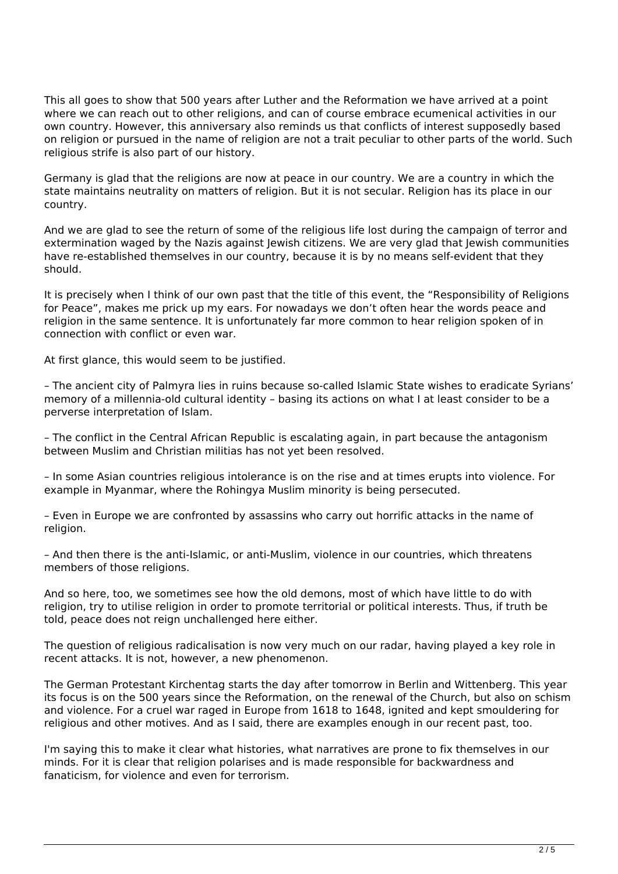This all goes to show that 500 years after Luther and the Reformation we have arrived at a point where we can reach out to other religions, and can of course embrace ecumenical activities in our own country. However, this anniversary also reminds us that conflicts of interest supposedly based on religion or pursued in the name of religion are not a trait peculiar to other parts of the world. Such religious strife is also part of our history.

Germany is glad that the religions are now at peace in our country. We are a country in which the state maintains neutrality on matters of religion. But it is not secular. Religion has its place in our country.

And we are glad to see the return of some of the religious life lost during the campaign of terror and extermination waged by the Nazis against Jewish citizens. We are very glad that Jewish communities have re-established themselves in our country, because it is by no means self-evident that they should.

It is precisely when I think of our own past that the title of this event, the "Responsibility of Religions for Peace", makes me prick up my ears. For nowadays we don't often hear the words peace and religion in the same sentence. It is unfortunately far more common to hear religion spoken of in connection with conflict or even war.

At first glance, this would seem to be justified.

– The ancient city of Palmyra lies in ruins because so-called Islamic State wishes to eradicate Syrians' memory of a millennia-old cultural identity – basing its actions on what I at least consider to be a perverse interpretation of Islam.

– The conflict in the Central African Republic is escalating again, in part because the antagonism between Muslim and Christian militias has not yet been resolved.

– In some Asian countries religious intolerance is on the rise and at times erupts into violence. For example in Myanmar, where the Rohingya Muslim minority is being persecuted.

– Even in Europe we are confronted by assassins who carry out horrific attacks in the name of religion.

– And then there is the anti-Islamic, or anti-Muslim, violence in our countries, which threatens members of those religions.

And so here, too, we sometimes see how the old demons, most of which have little to do with religion, try to utilise religion in order to promote territorial or political interests. Thus, if truth be told, peace does not reign unchallenged here either.

The question of religious radicalisation is now very much on our radar, having played a key role in recent attacks. It is not, however, a new phenomenon.

The German Protestant Kirchentag starts the day after tomorrow in Berlin and Wittenberg. This year its focus is on the 500 years since the Reformation, on the renewal of the Church, but also on schism and violence. For a cruel war raged in Europe from 1618 to 1648, ignited and kept smouldering for religious and other motives. And as I said, there are examples enough in our recent past, too.

I'm saying this to make it clear what histories, what narratives are prone to fix themselves in our minds. For it is clear that religion polarises and is made responsible for backwardness and fanaticism, for violence and even for terrorism.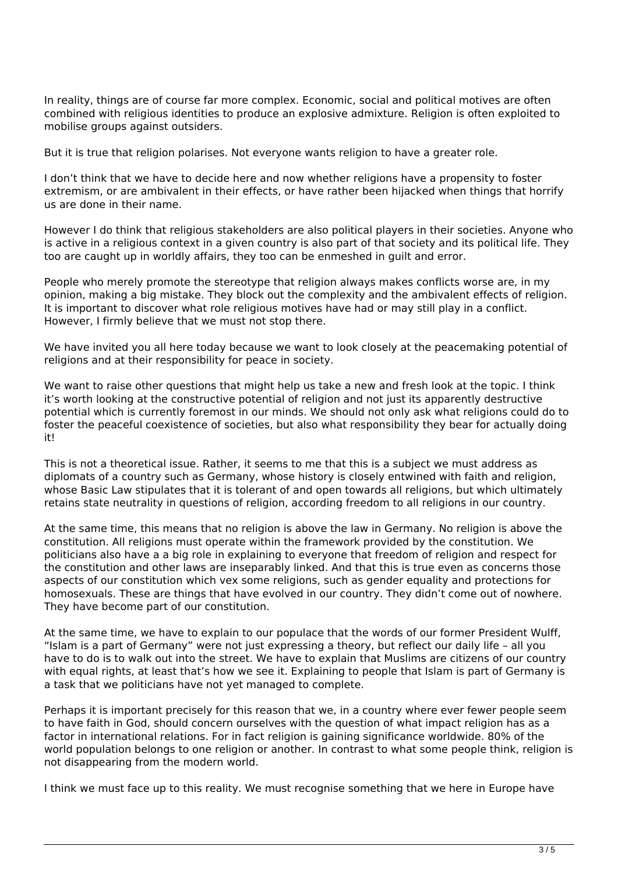In reality, things are of course far more complex. Economic, social and political motives are often combined with religious identities to produce an explosive admixture. Religion is often exploited to mobilise groups against outsiders.

But it is true that religion polarises. Not everyone wants religion to have a greater role.

I don't think that we have to decide here and now whether religions have a propensity to foster extremism, or are ambivalent in their effects, or have rather been hijacked when things that horrify us are done in their name.

However I do think that religious stakeholders are also political players in their societies. Anyone who is active in a religious context in a given country is also part of that society and its political life. They too are caught up in worldly affairs, they too can be enmeshed in guilt and error.

People who merely promote the stereotype that religion always makes conflicts worse are, in my opinion, making a big mistake. They block out the complexity and the ambivalent effects of religion. It is important to discover what role religious motives have had or may still play in a conflict. However, I firmly believe that we must not stop there.

We have invited you all here today because we want to look closely at the peacemaking potential of religions and at their responsibility for peace in society.

We want to raise other questions that might help us take a new and fresh look at the topic. I think it's worth looking at the constructive potential of religion and not just its apparently destructive potential which is currently foremost in our minds. We should not only ask what religions could do to foster the peaceful coexistence of societies, but also what responsibility they bear for actually doing it!

This is not a theoretical issue. Rather, it seems to me that this is a subject we must address as diplomats of a country such as Germany, whose history is closely entwined with faith and religion, whose Basic Law stipulates that it is tolerant of and open towards all religions, but which ultimately retains state neutrality in questions of religion, according freedom to all religions in our country.

At the same time, this means that no religion is above the law in Germany. No religion is above the constitution. All religions must operate within the framework provided by the constitution. We politicians also have a a big role in explaining to everyone that freedom of religion and respect for the constitution and other laws are inseparably linked. And that this is true even as concerns those aspects of our constitution which vex some religions, such as gender equality and protections for homosexuals. These are things that have evolved in our country. They didn't come out of nowhere. They have become part of our constitution.

At the same time, we have to explain to our populace that the words of our former President Wulff, "Islam is a part of Germany" were not just expressing a theory, but reflect our daily life – all you have to do is to walk out into the street. We have to explain that Muslims are citizens of our country with equal rights, at least that's how we see it. Explaining to people that Islam is part of Germany is a task that we politicians have not yet managed to complete.

Perhaps it is important precisely for this reason that we, in a country where ever fewer people seem to have faith in God, should concern ourselves with the question of what impact religion has as a factor in international relations. For in fact religion is gaining significance worldwide. 80% of the world population belongs to one religion or another. In contrast to what some people think, religion is not disappearing from the modern world.

I think we must face up to this reality. We must recognise something that we here in Europe have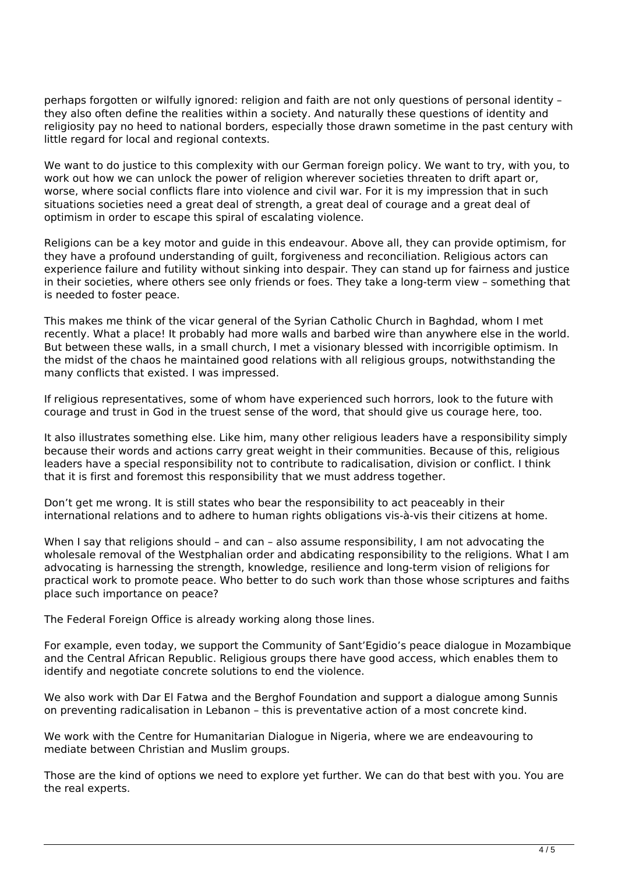perhaps forgotten or wilfully ignored: religion and faith are not only questions of personal identity – they also often define the realities within a society. And naturally these questions of identity and religiosity pay no heed to national borders, especially those drawn sometime in the past century with little regard for local and regional contexts.

We want to do justice to this complexity with our German foreign policy. We want to try, with you, to work out how we can unlock the power of religion wherever societies threaten to drift apart or, worse, where social conflicts flare into violence and civil war. For it is my impression that in such situations societies need a great deal of strength, a great deal of courage and a great deal of optimism in order to escape this spiral of escalating violence.

Religions can be a key motor and guide in this endeavour. Above all, they can provide optimism, for they have a profound understanding of guilt, forgiveness and reconciliation. Religious actors can experience failure and futility without sinking into despair. They can stand up for fairness and justice in their societies, where others see only friends or foes. They take a long-term view – something that is needed to foster peace.

This makes me think of the vicar general of the Syrian Catholic Church in Baghdad, whom I met recently. What a place! It probably had more walls and barbed wire than anywhere else in the world. But between these walls, in a small church, I met a visionary blessed with incorrigible optimism. In the midst of the chaos he maintained good relations with all religious groups, notwithstanding the many conflicts that existed. I was impressed.

If religious representatives, some of whom have experienced such horrors, look to the future with courage and trust in God in the truest sense of the word, that should give us courage here, too.

It also illustrates something else. Like him, many other religious leaders have a responsibility simply because their words and actions carry great weight in their communities. Because of this, religious leaders have a special responsibility not to contribute to radicalisation, division or conflict. I think that it is first and foremost this responsibility that we must address together.

Don't get me wrong. It is still states who bear the responsibility to act peaceably in their international relations and to adhere to human rights obligations vis-à-vis their citizens at home.

When I say that religions should - and can - also assume responsibility, I am not advocating the wholesale removal of the Westphalian order and abdicating responsibility to the religions. What I am advocating is harnessing the strength, knowledge, resilience and long-term vision of religions for practical work to promote peace. Who better to do such work than those whose scriptures and faiths place such importance on peace?

The Federal Foreign Office is already working along those lines.

For example, even today, we support the Community of Sant'Egidio's peace dialogue in Mozambique and the Central African Republic. Religious groups there have good access, which enables them to identify and negotiate concrete solutions to end the violence.

We also work with Dar El Fatwa and the Berghof Foundation and support a dialogue among Sunnis on preventing radicalisation in Lebanon – this is preventative action of a most concrete kind.

We work with the Centre for Humanitarian Dialogue in Nigeria, where we are endeavouring to mediate between Christian and Muslim groups.

Those are the kind of options we need to explore yet further. We can do that best with you. You are the real experts.